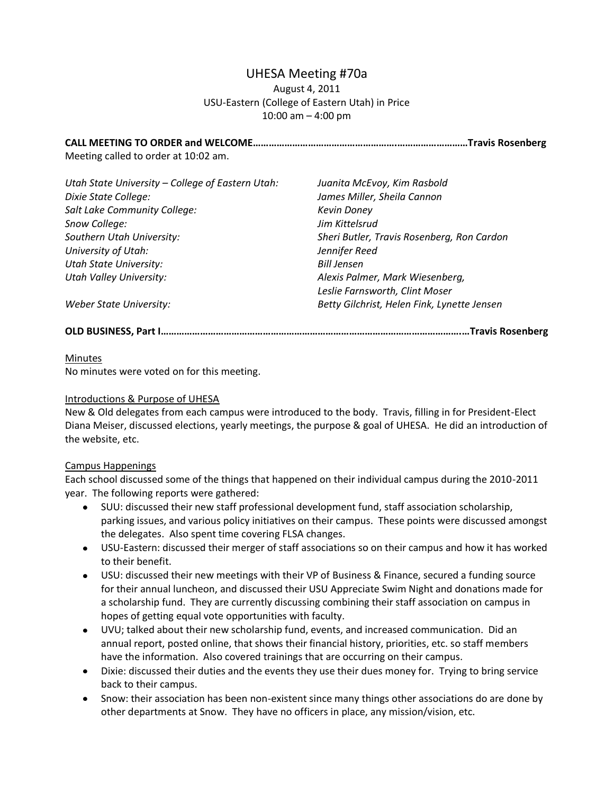# UHESA Meeting #70a

### August 4, 2011 USU-Eastern (College of Eastern Utah) in Price 10:00 am – 4:00 pm

**CALL MEETING TO ORDER and WELCOME……………………………………………….………………………Travis Rosenberg** Meeting called to order at 10:02 am.

| Utah State University - College of Eastern Utah: | Juanita McEvoy, Kim Rasbold                 |
|--------------------------------------------------|---------------------------------------------|
| Dixie State College:                             | James Miller, Sheila Cannon                 |
| Salt Lake Community College:                     | <b>Kevin Doney</b>                          |
| Snow College:                                    | Jim Kittelsrud                              |
| Southern Utah University:                        | Sheri Butler, Travis Rosenberg, Ron Cardon  |
| University of Utah:                              | Jennifer Reed                               |
| <b>Utah State University:</b>                    | <b>Bill Jensen</b>                          |
| <b>Utah Valley University:</b>                   | Alexis Palmer, Mark Wiesenberg,             |
|                                                  | Leslie Farnsworth, Clint Moser              |
| Weber State University:                          | Betty Gilchrist, Helen Fink, Lynette Jensen |

**OLD BUSINESS, Part I…………………………………………………………………………………………………….…Travis Rosenberg**

#### Minutes

No minutes were voted on for this meeting.

#### Introductions & Purpose of UHESA

New & Old delegates from each campus were introduced to the body. Travis, filling in for President-Elect Diana Meiser, discussed elections, yearly meetings, the purpose & goal of UHESA. He did an introduction of the website, etc.

#### Campus Happenings

Each school discussed some of the things that happened on their individual campus during the 2010-2011 year. The following reports were gathered:

- SUU: discussed their new staff professional development fund, staff association scholarship,  $\bullet$ parking issues, and various policy initiatives on their campus. These points were discussed amongst the delegates. Also spent time covering FLSA changes.
- USU-Eastern: discussed their merger of staff associations so on their campus and how it has worked to their benefit.
- USU: discussed their new meetings with their VP of Business & Finance, secured a funding source for their annual luncheon, and discussed their USU Appreciate Swim Night and donations made for a scholarship fund. They are currently discussing combining their staff association on campus in hopes of getting equal vote opportunities with faculty.
- UVU; talked about their new scholarship fund, events, and increased communication. Did an annual report, posted online, that shows their financial history, priorities, etc. so staff members have the information. Also covered trainings that are occurring on their campus.
- Dixie: discussed their duties and the events they use their dues money for. Trying to bring service back to their campus.
- Snow: their association has been non-existent since many things other associations do are done by other departments at Snow. They have no officers in place, any mission/vision, etc.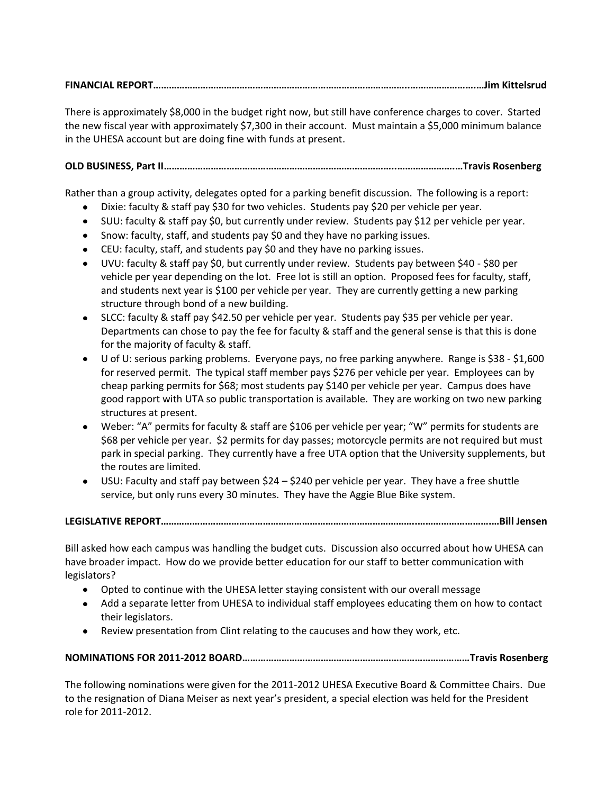# **FINANCIAL REPORT……………………………………………………………………………………..…………………….…Jim Kittelsrud**

There is approximately \$8,000 in the budget right now, but still have conference charges to cover. Started the new fiscal year with approximately \$7,300 in their account. Must maintain a \$5,000 minimum balance in the UHESA account but are doing fine with funds at present.

# **OLD BUSINESS, Part II……………………………………………………………………………..………………….…Travis Rosenberg**

Rather than a group activity, delegates opted for a parking benefit discussion. The following is a report:

- $\bullet$ Dixie: faculty & staff pay \$30 for two vehicles. Students pay \$20 per vehicle per year.
- SUU: faculty & staff pay \$0, but currently under review. Students pay \$12 per vehicle per year.
- Snow: faculty, staff, and students pay \$0 and they have no parking issues.
- CEU: faculty, staff, and students pay \$0 and they have no parking issues.
- UVU: faculty & staff pay \$0, but currently under review. Students pay between \$40 \$80 per vehicle per year depending on the lot. Free lot is still an option. Proposed fees for faculty, staff, and students next year is \$100 per vehicle per year. They are currently getting a new parking structure through bond of a new building.
- SLCC: faculty & staff pay \$42.50 per vehicle per year. Students pay \$35 per vehicle per year. Departments can chose to pay the fee for faculty & staff and the general sense is that this is done for the majority of faculty & staff.
- U of U: serious parking problems. Everyone pays, no free parking anywhere. Range is \$38 \$1,600 for reserved permit. The typical staff member pays \$276 per vehicle per year. Employees can by cheap parking permits for \$68; most students pay \$140 per vehicle per year. Campus does have good rapport with UTA so public transportation is available. They are working on two new parking structures at present.
- Weber: "A" permits for faculty & staff are \$106 per vehicle per year; "W" permits for students are \$68 per vehicle per year. \$2 permits for day passes; motorcycle permits are not required but must park in special parking. They currently have a free UTA option that the University supplements, but the routes are limited.
- USU: Faculty and staff pay between \$24 \$240 per vehicle per year. They have a free shuttle service, but only runs every 30 minutes. They have the Aggie Blue Bike system.

## **LEGISLATIVE REPORT……………………………………………………………………………………..……………………….…Bill Jensen**

Bill asked how each campus was handling the budget cuts. Discussion also occurred about how UHESA can have broader impact. How do we provide better education for our staff to better communication with legislators?

- Opted to continue with the UHESA letter staying consistent with our overall message
- Add a separate letter from UHESA to individual staff employees educating them on how to contact their legislators.
- Review presentation from Clint relating to the caucuses and how they work, etc.

# **NOMINATIONS FOR 2011-2012 BOARD……………………………………………………………………………Travis Rosenberg**

The following nominations were given for the 2011-2012 UHESA Executive Board & Committee Chairs. Due to the resignation of Diana Meiser as next year's president, a special election was held for the President role for 2011-2012.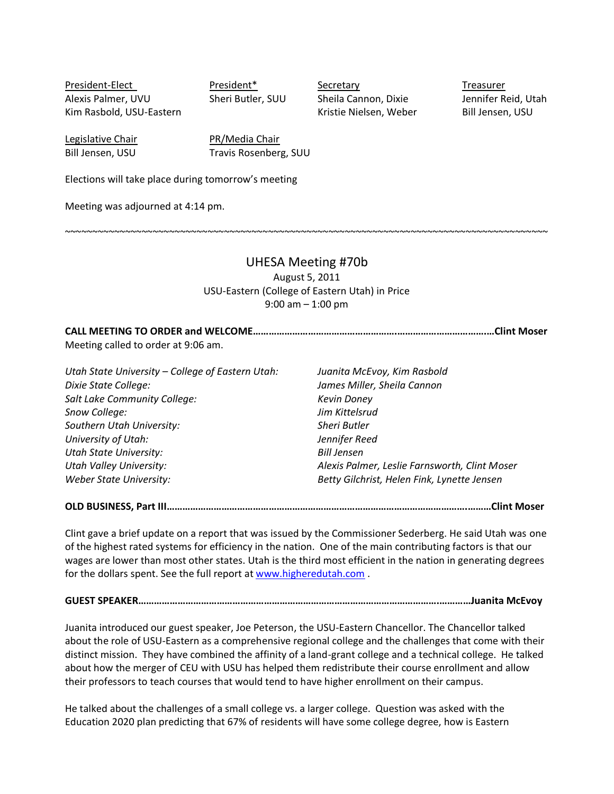President-Elect President<sup>\*</sup> Secretary President-President President Alexis Palmer, UVU Sheri Butler, SUU Sheila Cannon, Dixie Jennifer Reid, Utah Kim Rasbold, USU-Eastern Kristie Nielsen, Weber Bill Jensen, USU

Legislative Chair **PR/Media Chair** 

Bill Jensen, USU Travis Rosenberg, SUU

Elections will take place during tomorrow's meeting

Meeting was adjourned at 4:14 pm.

~~~~~~~~~~~~~~~~~~~~~~~~~~~~~~~~~~~~~~~~~~~~~~~~~~~~~~~~~~~~~~~~~~~~~~~~~~~~~~~~~~~~~~~~

#### UHESA Meeting #70b

August 5, 2011 USU-Eastern (College of Eastern Utah) in Price 9:00 am – 1:00 pm

**CALL MEETING TO ORDER and WELCOME……………………………………………….…………………………….…Clint Moser** Meeting called to order at 9:06 am.

*Utah State University – College of Eastern Utah: Juanita McEvoy, Kim Rasbold Dixie State College: James Miller, Sheila Cannon Salt Lake Community College: Kevin Doney Snow College: Jim Kittelsrud Southern Utah University: Sheri Butler University of Utah: Jennifer Reed Utah State University: Bill Jensen Utah Valley University: Alexis Palmer, Leslie Farnsworth, Clint Moser Weber State University: Betty Gilchrist, Helen Fink, Lynette Jensen*

**OLD BUSINESS, Part III…………………………………………………………………………………………………….………Clint Moser**

Clint gave a brief update on a report that was issued by the Commissioner Sederberg. He said Utah was one of the highest rated systems for efficiency in the nation. One of the main contributing factors is that our wages are lower than most other states. Utah is the third most efficient in the nation in generating degrees for the dollars spent. See the full report at [www.higheredutah.com](http://www.higheredutah.com/) .

**GUEST SPEAKER…………………………………………………………………………………………………….…………Juanita McEvoy**

Juanita introduced our guest speaker, Joe Peterson, the USU-Eastern Chancellor. The Chancellor talked about the role of USU-Eastern as a comprehensive regional college and the challenges that come with their distinct mission. They have combined the affinity of a land-grant college and a technical college. He talked about how the merger of CEU with USU has helped them redistribute their course enrollment and allow their professors to teach courses that would tend to have higher enrollment on their campus.

He talked about the challenges of a small college vs. a larger college. Question was asked with the Education 2020 plan predicting that 67% of residents will have some college degree, how is Eastern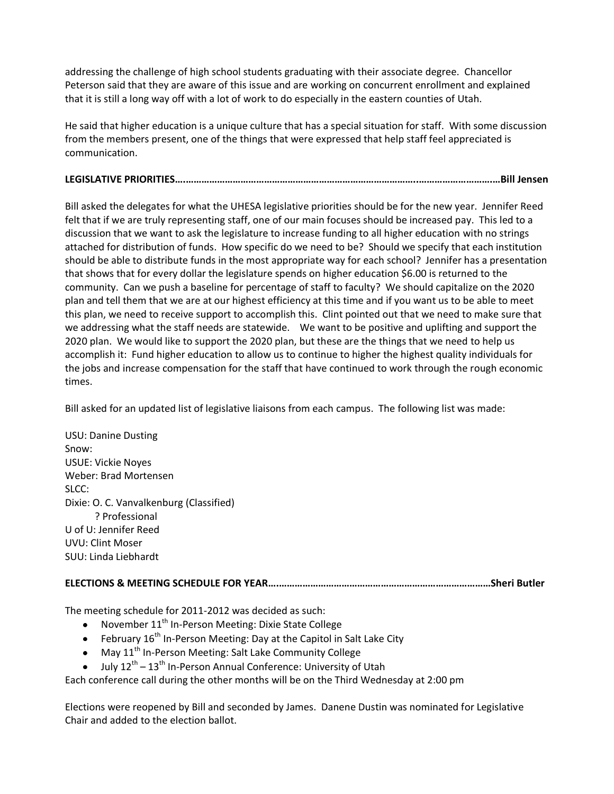addressing the challenge of high school students graduating with their associate degree. Chancellor Peterson said that they are aware of this issue and are working on concurrent enrollment and explained that it is still a long way off with a lot of work to do especially in the eastern counties of Utah.

He said that higher education is a unique culture that has a special situation for staff. With some discussion from the members present, one of the things that were expressed that help staff feel appreciated is communication.

# **LEGISLATIVE PRIORITIES….……………………………………………………………………………..……………………….…Bill Jensen**

Bill asked the delegates for what the UHESA legislative priorities should be for the new year. Jennifer Reed felt that if we are truly representing staff, one of our main focuses should be increased pay. This led to a discussion that we want to ask the legislature to increase funding to all higher education with no strings attached for distribution of funds. How specific do we need to be? Should we specify that each institution should be able to distribute funds in the most appropriate way for each school? Jennifer has a presentation that shows that for every dollar the legislature spends on higher education \$6.00 is returned to the community. Can we push a baseline for percentage of staff to faculty? We should capitalize on the 2020 plan and tell them that we are at our highest efficiency at this time and if you want us to be able to meet this plan, we need to receive support to accomplish this. Clint pointed out that we need to make sure that we addressing what the staff needs are statewide. We want to be positive and uplifting and support the 2020 plan. We would like to support the 2020 plan, but these are the things that we need to help us accomplish it: Fund higher education to allow us to continue to higher the highest quality individuals for the jobs and increase compensation for the staff that have continued to work through the rough economic times.

Bill asked for an updated list of legislative liaisons from each campus. The following list was made:

| <b>USU: Danine Dusting</b>              |  |
|-----------------------------------------|--|
| Snow:                                   |  |
| <b>USUE: Vickie Noyes</b>               |  |
| Weber: Brad Mortensen                   |  |
| SLCC:                                   |  |
| Dixie: O. C. Vanvalkenburg (Classified) |  |
| ? Professional                          |  |
| U of U: Jennifer Reed                   |  |
| <b>UVU: Clint Moser</b>                 |  |
| SUU: Linda Liebhardt                    |  |
|                                         |  |

## **ELECTIONS & MEETING SCHEDULE FOR YEAR….………………………………………………………………………Sheri Butler**

The meeting schedule for 2011-2012 was decided as such:

- November 11<sup>th</sup> In-Person Meeting: Dixie State College
- February  $16^{th}$  In-Person Meeting: Day at the Capitol in Salt Lake City
- May 11<sup>th</sup> In-Person Meeting: Salt Lake Community College  $\bullet$
- July 12<sup>th</sup> 13<sup>th</sup> In-Person Annual Conference: University of Utah

Each conference call during the other months will be on the Third Wednesday at 2:00 pm

Elections were reopened by Bill and seconded by James. Danene Dustin was nominated for Legislative Chair and added to the election ballot.